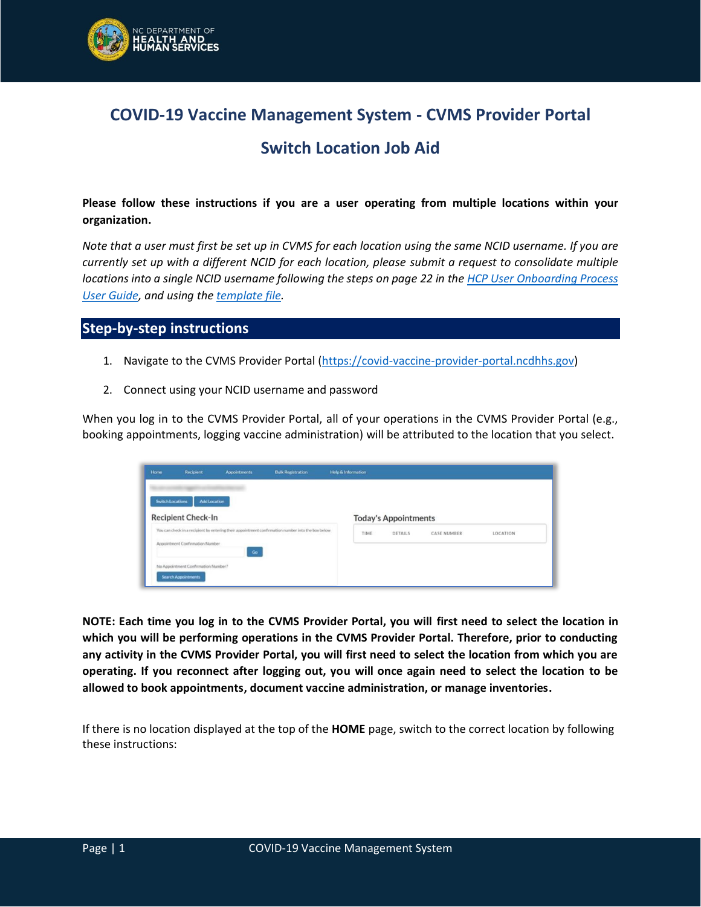

## **COVID-19 Vaccine Management System - CVMS Provider Portal**

## **Switch Location Job Aid**

**Please follow these instructions if you are a user operating from multiple locations within your organization.** 

*Note that a user must first be set up in CVMS for each location using the same NCID username. If you are currently set up with a different NCID for each location, please submit a request to consolidate multiple locations into a single NCID username following the steps on page 22 in th[e HCP User Onboarding Process](https://covid19.ncdhhs.gov/cvms-hcp-user-onboarding-template-user-guide-2/download)  [User Guide,](https://covid19.ncdhhs.gov/cvms-hcp-user-onboarding-template-user-guide-2/download) and using the [template file.](https://covid19.ncdhhs.gov/hcp-user-onboarding-templates/download)*

## **Step-by-step instructions**

- 1. Navigate to the CVMS Provider Portal [\(https://covid-vaccine-provider-portal.ncdhhs.gov\)](https://covid-vaccine-provider-portal.ncdhhs.gov/)
- 2. Connect using your NCID username and password

When you log in to the CVMS Provider Portal, all of your operations in the CVMS Provider Portal (e.g., booking appointments, logging vaccine administration) will be attributed to the location that you select.

| Home                    | Recipient                           | <b>Appointments</b> | <b>Bulk Registration</b>                                                                          | <b>Help &amp; Information</b> |                             |                    |          |
|-------------------------|-------------------------------------|---------------------|---------------------------------------------------------------------------------------------------|-------------------------------|-----------------------------|--------------------|----------|
| <b>Switch Locations</b> | <b>Add Location</b>                 |                     |                                                                                                   |                               |                             |                    |          |
|                         | <b>Recipient Check-In</b>           |                     |                                                                                                   |                               | <b>Today's Appointments</b> |                    |          |
|                         | Appointment Confirmation Number     |                     | You can check in a recipient by entering their appointment confirmation number into the box below | TIME                          | DETAILS                     | <b>CASE NUMBER</b> | LOCATION |
|                         | No Appointment Confirmation Number? | $\mathsf{Go}$       |                                                                                                   |                               |                             |                    |          |
|                         | <b>Search Appointments</b>          |                     |                                                                                                   |                               |                             |                    |          |

**NOTE: Each time you log in to the CVMS Provider Portal, you will first need to select the location in which you will be performing operations in the CVMS Provider Portal. Therefore, prior to conducting any activity in the CVMS Provider Portal, you will first need to select the location from which you are operating. If you reconnect after logging out, you will once again need to select the location to be allowed to book appointments, document vaccine administration, or manage inventories.**

If there is no location displayed at the top of the **HOME** page, switch to the correct location by following these instructions: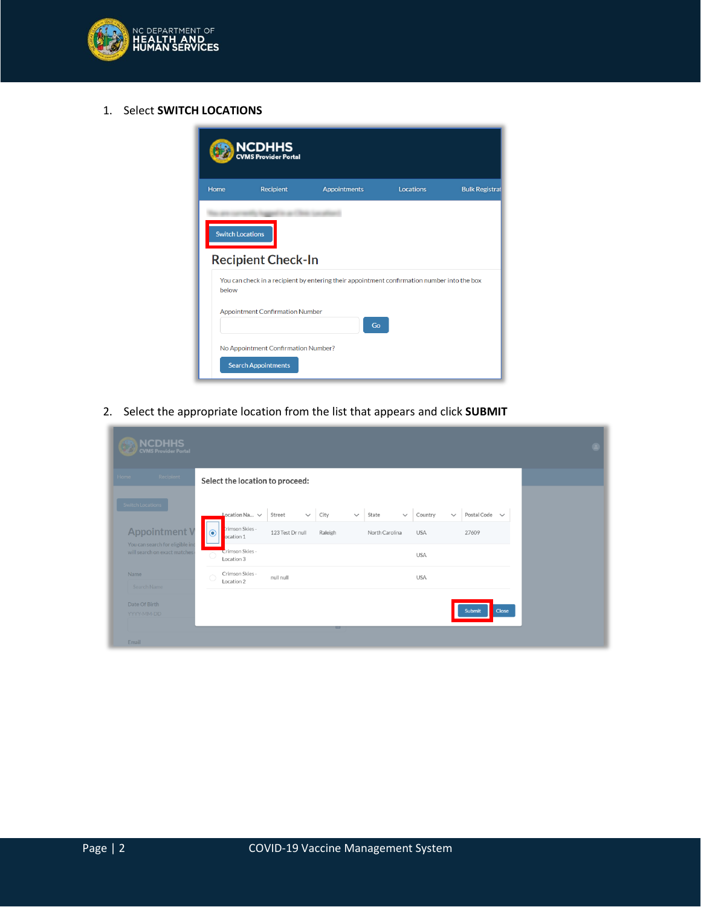

1. Select **SWITCH LOCATIONS**

|       | NCDHHS<br><b>MS Provider Portal</b>                                                                                                                 |                     |                  |                       |  |  |  |  |
|-------|-----------------------------------------------------------------------------------------------------------------------------------------------------|---------------------|------------------|-----------------------|--|--|--|--|
| Home  | Recipient                                                                                                                                           | <b>Appointments</b> | <b>Locations</b> | <b>Bulk Registrat</b> |  |  |  |  |
| below | <b>Switch Locations</b><br><b>Recipient Check-In</b><br>You can check in a recipient by entering their appointment confirmation number into the box |                     |                  |                       |  |  |  |  |
|       | <b>Appointment Confirmation Number</b><br>Go                                                                                                        |                     |                  |                       |  |  |  |  |
|       | No Appointment Confirmation Number?                                                                                                                 |                     |                  |                       |  |  |  |  |
|       | <b>Search Appointments</b>                                                                                                                          |                     |                  |                       |  |  |  |  |

2. Select the appropriate location from the list that appears and click **SUBMIT**

| <b>NCDHHS</b><br><b>CVMS Provider Portal</b>                                                                |                                                                                                                                                                                                                                                                                                                    | œ |
|-------------------------------------------------------------------------------------------------------------|--------------------------------------------------------------------------------------------------------------------------------------------------------------------------------------------------------------------------------------------------------------------------------------------------------------------|---|
| Recipient<br>Home                                                                                           | Select the location to proceed:                                                                                                                                                                                                                                                                                    |   |
| Switch Locations<br><b>Appointment V</b><br>You can search for eligible inc<br>will search on exact matches | Location Na $\vee$<br>State<br>Postal Code $\sim$<br>City<br>Country<br>Street<br>$\checkmark$<br>$\checkmark$<br>$\checkmark$<br>$\checkmark$<br>trimson Skies -<br>$\bullet$<br>123 Test Dr null<br>North Carolina<br><b>USA</b><br>27609<br>Raleigh<br>ocation 1<br>Crimson Skies -<br><b>USA</b><br>Location 3 |   |
| <b>Name</b><br>Search Name                                                                                  | Crimson Skies -<br><b>USA</b><br>null null<br>∩<br>Location 2                                                                                                                                                                                                                                                      |   |
| Date Of Birth<br>YYYY-MM-DD                                                                                 | Submit<br>Close<br>ᄪ                                                                                                                                                                                                                                                                                               |   |
| Email                                                                                                       |                                                                                                                                                                                                                                                                                                                    |   |